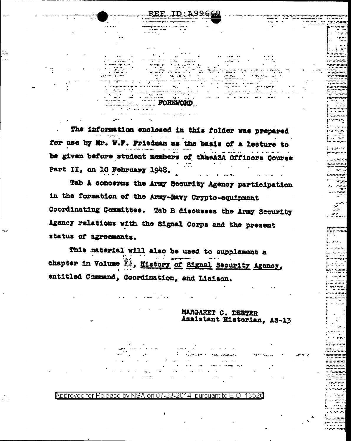The information enclosed in this folder was prepared for use by Mr. W.F. Friedman as the basis of a lecture to be given before student members of thheASA Officers Course Part II, on 10 February 1948.

..ID : A99666

 $\mathcal{L}(\mathcal{E})$  , and  $\mathcal{E}(\mathcal{E})$ 

egen i vit

siktes

 $\overline{\cdot}$  .

بكباء الكبي

uurt.

Simon.  $\sim 1000$ 

 $\sim$   $\sim$   $\sim$ 

an a

**Record**  $\ddotsc$ 

. . . . .

المسترد

 $\mathbb{Z}$ 

 $\frac{1}{2} \sum_{i=1}^{n} \frac{1}{i} \sum_{j=1}^{n} \frac{1}{j} \sum_{j=1}^{n} \frac{1}{j} \sum_{j=1}^{n} \frac{1}{j} \sum_{j=1}^{n} \frac{1}{j} \sum_{j=1}^{n} \frac{1}{j} \sum_{j=1}^{n} \frac{1}{j} \sum_{j=1}^{n} \frac{1}{j} \sum_{j=1}^{n} \frac{1}{j} \sum_{j=1}^{n} \frac{1}{j} \sum_{j=1}^{n} \frac{1}{j} \sum_{j=1}^{n} \frac{1}{j} \sum_{j=1}^{n$ 

**POREWORD** 

Erik Kanpon

 $\omega_{\rm{max}}$  ,  $\omega_{\rm{max}}$ 

Tab A concerns the Army Security Agency participation in the formation of the Army-Navy Crypto-equipment Coordinating Committee. Tab B discusses the Army Security Agency relations with the Signal Corps and the present status of agreements.

This material will also be used to supplement a chapter in Volume  $\bar{\mathbb{I}}^{\bar{x}}$ , History of Signal Security Agency, entitled Command, Coordination, and Liaison.

> MARGARET C. DEETER Assistant Historian, AS-13

Approved for Release by NSA on 07-23-2014 pursuant to E.O. 13526

 $\mathcal{N}=\{1,2,3\}$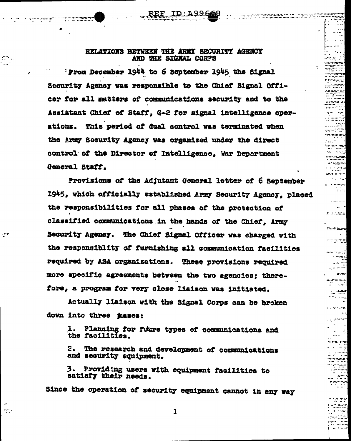RELATIONS BETWEEN THE ARMY SECURITY AGENCY AND THE SIGNAL CORPS

ID:A99666

............. -eennim

 $\mathcal{L}(\mathcal{C})$ 

.....  $\ddotsc$ 

. ........

**Purificilia** 

murus.

consumers of  $\sim$  -regger

> - 12 . . . <u>. .</u> . . <del>. .</del>

econo-............  $\sim$   $\sim$ 

> . ge ÷ u

s stepulstro

 $1.765$ 

 $\sim$   $\sim$ and an amar

a matut

 $REF$ 

ji.<br>Um

- try

w.

Prom December 1944 to 6 September 1945 the Signal Security Agency was responsible to the Chief Signal Officer for all matters of communications security and to the Assistant Chief of Staff. G-2 for signal intelligence operations. This period of dual control was terminated when the Army Security Agency was organized under the direct control of the Director of Intelligence. War Department General Staff.

Provisions of the Adjutant General letter of 6 September 1945, which officially established Army Security Agency, placed the responsibilities for all phases of the protection of classified communications in the hands of the Chief, Army Security Agency. The Chief Signal Officer was charged with the responsiblity of furnishing all communication facilities required by ASA organizations. These provisions required more specific agreements between the two agencies; therefore, a program for very close liaison was initiated.

Actually liaison with the Signal Corps can be broken down into three mases:

Planning for fuure types of communications and 1. the facilities.

The research and development of communications 2. and security equipment.

Providing users with equipment facilities to 3. satisfy their needs.

Since the operation of security equipment cannot in any way

 $\mathbf{1}$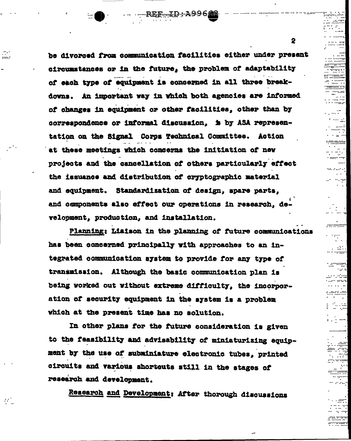be divorsed from communication facilities either under present circumstances or in the future, the problem of adaptability of each type of equipment is concerned in all three breakdowns. An important way in which both agencies are informed of changes in equipment or other facilities, other than by correspondence or informal discussion. is by ASA representation on the Signal Corps Technical Committee. Action at these meetings which concerns the initiation of new projects and the cancellation of others particularly effect the issuance and distribution of cryptographic material and equipment. Standardization of design. spare parts. and components also effect our operations in research, development, production, and installation.

REF ID: A99668

and a

 $\mathbb{R}^n$ 

Planning: Liaison in the planning of future communications has been concerned principally with approaches to an integrated communication system to provide for any type of transmission. Although the basic communication plan is being worked out without extreme difficulty, the incorporation of security equipment in the system is a problem which at the present time has no solution.

In other plans for the future consideration is given to the feasibility and advisability of miniaturizing equipment by the use of subminiature electronic tubes, printed circuits and various shortcuts still in the stages of research and development.

Research and Development: After thorough discussions

 $\mathbf{2}$ 

me e

 $\mathbf{R}$ 

-----------

 $\mathbb{Z}^2$ 

umman ka

undum

خبابا

ww

--::::''

 $\sim$   $\sim$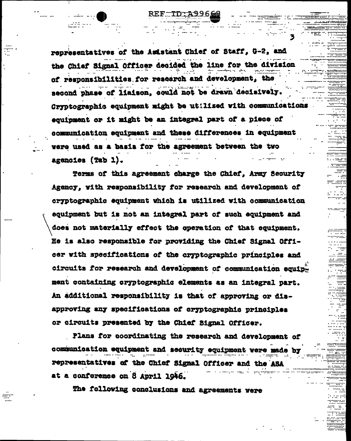representatives of the Asistant Chief of Staff, G-2, and the Chief Signal Officer decided the line for the division of responsibilities for research and development, the second phase of liaison, could not be drawn decisively. Cryptographic equipment might be utilized with communications equipment or it might be an integral part of a piece of communication equipment and these differences in equipment were used as a basis for the agreement between the two agencies (Tab 1).

REF-ID:A996

Terms of this agreement charge the Chief, Army Security Agency, with responsibility for research and development of cryptographic equipment which is utilized with communication equipment but is not an integral part of such equipment and does not materially effect the operation of that equipment. He is also responsible for providing the Chief Signal Officer with specifications of the cryptographic principles and circuits for research and development of communication equipment containing cryptographic elements as an integral part. An additional responsibility is that of approving or disapproving any specifications of cryptographic principles or circuits presented by the Chief Signal Officer.

Plans for coordinating the research and development of communication equipment and security equipment vere made representatives of the Chief Signal Officer and the ASA at a conference on 8 April 1946.

The following conclusions and agreements were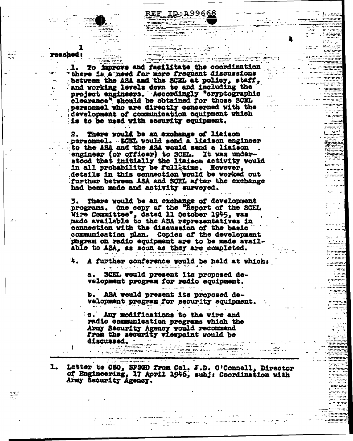$\begin{array}{c}\n\vdots \\
\downarrow\n\end{array}$ 1. To improve and fasilitate the coordination<br>"there is a need for more frequent discussions<br>between the ASA and the SCEL at policy, staff, and working levels down to and increased the project engineers. Accordingly "oryptographic personnel who are directly concerned with the development of communication equipment which is to be used with security equipment.

 $\frac{1}{2}$   $\frac{1}{2}$   $\frac{1}{2}$   $\frac{1}{2}$   $\frac{1}{2}$   $\frac{1}{2}$   $\frac{1}{2}$   $\frac{1}{2}$   $\frac{1}{2}$   $\frac{1}{2}$   $\frac{1}{2}$   $\frac{1}{2}$   $\frac{1}{2}$   $\frac{1}{2}$   $\frac{1}{2}$   $\frac{1}{2}$   $\frac{1}{2}$   $\frac{1}{2}$   $\frac{1}{2}$   $\frac{1}{2}$   $\frac{1}{2}$   $\frac{1}{2}$  **Common** 

reached:

 $-0.7 - 0.7$ 

REF ID: A99668

er edere frutt 1

a a comhan an t-an an t-an an t-an an t-an an t-an an t-an an t-an an t-an an t-an an t-an an t-an an t-an an<br>T-an an t-an an t-an an t-an an t-an an t-an an t-an an t-an an t-an an t-an an t-an an t-an an t-an an t-an a

,,,,,<sub>,,</sub>,,,,,

mme

........... . . . . .

فمومنا بالتبيين .......

. . . . . . . . . . .  $\sim$   $\sim$   $\sim$ 

 $\sim$   $\sim$ 

**External** 

 $\sim$  . Here

 $\mathcal{L}^{\text{max}}$ 

 $\mathcal{L}_{\mathcal{A}}$ 

...::::::::::::

 $\sim$  an ap **Construction** 

 $\sim 10^{10}$ 

 $\frac{1}{2}$  with  $\frac{1}{2}$ 

 $\mathcal{L}^{\text{max}}_{\text{max}}$  and  $\mathcal{L}^{\text{max}}_{\text{max}}$ 

There would be an exchange of liaison 2. personnel. SCKL would send a liaison engineer to the ASA and the ASA would send a liaison engineer (or officer) to SCEL. It was understood that initially the liaison activity would<br>in all probability be full time. However, details in this connection would be worked out further between ASA and SCEL after the exchange had been made and activity surveyed.

There would be an exchange of development programs. One copy of the "Report of the SCEL Wire Committee", dated 11 October 1945, was connection with the discussion of the basic communication plan. Copies of the development mogram on radio equipment are to be made available to ASA, as soon as they are completed. a de la componencia de la componencia de la componencia de la componencia de la componencia de la componencia<br>Componencia de la componencia de la componencia de la componencia de la componencia de la componencia de la co

A further conference would be held at which: a provincia da cola a marzante de Ta

SCEL would present its proposed dea. velopment program for radio equipment.

b. ASA would present its proposed development program for security equipment.

c. Any modifications to the wire and radio communication programs which the Army Security Agency would recommend from the security viewpoint would be discussed.

 $\cdots$  and interesting the  $\ddot{\phantom{a}}$ 

Letter to CSO, SPSGD from Col. J.D. O'Connell, Director<br>of Engineering, 17 April 1946, subj: Coordination with  $\mathbf{1}_{\bullet}$ Army Security Agency.

a na matsayan na matsayan na matsayan na matsayan na matsayan na matsayan na matsayan na matsayan na matsayan<br>Matsayan na matsayan na matsayan na matsayan na matsayan na matsayan na matsayan na matsayan na matsayan na ma

a <del>de la casa de la casa de la casa de la casa de la casa de la casa de la casa de la casa de la casa de la casa<br>La casa de la casa de la casa de la casa de la casa de la casa de la casa de la casa de la casa de la casa de</del>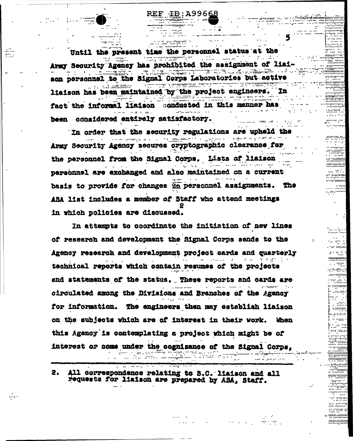Until the present time the personnel status at the Army Security Agency has prohibited the assignment of liai-**TA SERVER TRUNK ALL 19** son personnel to the Signal Corps Laboratories but active liaison has been maintained by the project engineers. In fact the informal liaison conducted in this manner has  $\mathbf{z}$  . As  $\mathbf{z}$ been considered entirely satisfactory. المنافعة المنافعة المقابل المستقلة.<br>المنافعة المنافعة المنافعة المنافعة

 $REE \rightarrow D$ ; A99668

In Angle

الاقتصاد

\*\*\*\*\*\*\*\*\*

. . . . . . . . . . . inariin

**Contract** 

 $\mathcal{L}_{\mathcal{F}}$  ,  $\mathcal{L}_{\mathcal{F}}$ 

ko kalend

annann.<br>Tíochta

 $... ... ... ...$ E

1.1"1:111111

alla est.

**THITE**  $\cdots$   $\cdots$ 

s. ar.hm

.<del>.</del>........

 $\ddotsc$ 28...

u muw

 $1,000000$ . . . . . . . . . . .

tin

------

...........

 $\frac{1}{2} \frac{1}{2} \frac{1}{2} \frac{1}{2} \frac{1}{2} \frac{1}{2} \frac{1}{2} \frac{1}{2} \frac{1}{2} \frac{1}{2} \frac{1}{2} \frac{1}{2} \frac{1}{2} \frac{1}{2} \frac{1}{2} \frac{1}{2} \frac{1}{2} \frac{1}{2} \frac{1}{2} \frac{1}{2} \frac{1}{2} \frac{1}{2} \frac{1}{2} \frac{1}{2} \frac{1}{2} \frac{1}{2} \frac{1}{2} \frac{1}{2} \frac{1}{2} \frac{1}{2} \frac{1}{2} \frac{$ 

............

. . . . . . . . . . . . . 0

. . . . . . . ÷..

> In order that the security regulations are upheld the eela voor van die Army Security Agency secures cryptographic clearence for an the personnel from the Signal Corps. Lists of liaison المتهيب بالسراء الآلا personnel are exchanged and also maintained on a current basis to provide for changes in personnel assignments. The ASA list includes a member of Staff who attend meetings in which policies are discussed.

> In attempts to coordinate the initiation of new lines of research and development the Signal Corps sends to the Agency research and development project cards and quarterly technical reports which contain resumes of the projects and statements of the status, These reports and cards are circulated among the Divisions and Branches of the Agency for information. The engineers then may establish liaison on the subjects which are of interest in their work. When this Agency is contemplating a project which might be of interest or come under the cognizance of the Signal Corps, gette tiede van de . (m. r. m. com

All correspondence relating to S.C. liaison and all 2. requests for liaison are prepared by ASA, Staff.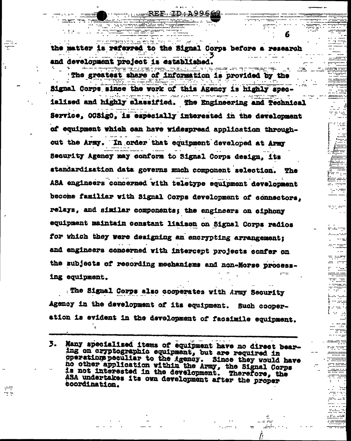the matter is referred to the Signal Corps before a research and development project is established. **Summarized of Constants (Section** 

---REF ID:A99666

6.

 $\sim 10^4$ 

fan i

Èœ

a po web

en laurente

umr

an inte

rom not

............. ------------

as ad anti-

ded tringe

<u> Marija Marthari</u>

mententen, at dieses teiles

 $\frac{1}{2}$   $\frac{1}{2}$   $\frac{1}{2}$   $\frac{1}{2}$   $\frac{1}{2}$   $\frac{1}{2}$   $\frac{1}{2}$   $\frac{1}{2}$   $\frac{1}{2}$   $\frac{1}{2}$   $\frac{1}{2}$   $\frac{1}{2}$   $\frac{1}{2}$   $\frac{1}{2}$   $\frac{1}{2}$   $\frac{1}{2}$   $\frac{1}{2}$   $\frac{1}{2}$   $\frac{1}{2}$   $\frac{1}{2}$   $\frac{1}{2}$   $\frac{1}{2}$ 

The greatest share of information is provided by the Signal Corps since the work of this Agency is highly specialised and highly slassified. The Engineering and Technical Service, OCSigO. is especially interested in the development of equipment which can have widespread application throughout the Army. In order that equipment developed at Army Security Agency may conform to Signal Corps design, its standardization data governs much component selection. The ABA engineers concerned with teletype equipment development become familiar with Signal Corps development of connectors, relays, and similar components; the engineers on eiphony equipment maintain constant liaison on Signal Corps radios for which they were designing an encrypting arrangement; and engineers concerned with intercept projects confer on the subjects of recording mechanisms and non-Morse processing equipment.

The Signal Corps also cooperates with Army Security Agency in the development of its equipment. Such cooperation is evident in the development of facsimile equipment.

ng ip

Many specialized items of equipment have no direct bear-3. ing on cryptographic equipment, but are required in pperations peculiar to the igency. Since they would have no other application within the Army, the Signal Corps is not interested in the development. Therefore, the ASA undertakes its own development after the proper coordination.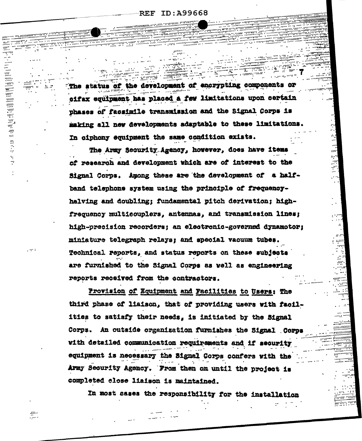ID:A99668  $\operatorname{REF}$ 

-252)

 $\sim$  $\sim$ 

> eren tin.<br>Ta

işk  $\mathbb{R}^2$ 

÷. Š

ممتين

The status of the development of encrypting components or cifax equipment has placed a few limitations upon certain phases of facsimile transmission and the Signal Corps is making all new developments adaptable to these limitations. In ciphony equipment the same condition exists.

تبيير

The Army Security Agency, however, does have items of research and development which are of interest to the Signal Corps. Among these are the development of a halfband telephone system using the principle of frequencyhalving and doubling; fundamental pitch derivation: highfrequency multicouplers, antennas, and transmission lines; high-precision recorders; an electronic-governed dynamotor; miniature telegraph relays: and special vacuum tubes. Technical reports, and status reports on these subjects are furnished to the Signal Corps as well as engineering reports received from the contractors.

Provision of Equipment and Facilities to Users: The third phase of liaison, that of providing users with facilities to satisfy their needs, is initiated by the Signal Corps. An outside organization furnishes the Signal Corps with detailed communication requirements and if security equipment is necessary the Signal Corps confers with the Army Security Agency. From then on until the project is completed close liaison is maintained.

In most cases the responsibility for the installation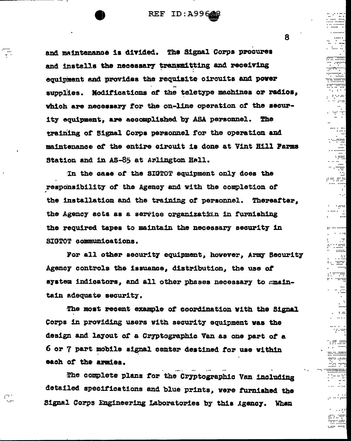**REF ID: A996668** 

and maintenance is divided. The Signal Corps procures and installs the necessary transmitting and receiving equipment and provides the requisite circuits and power supplies. Modifications of the teletype machines or radios, which are necessary for the on-line operation of the security equipment, are accomplished by ASA personnel. The training of Signal Corps personnel for the operation and maintenance of the entire circuit is done at Vint Hill Farms Station and in AS-85 at Arlington Hall.

÷,

معورها

In the case of the SIGTOT equipment only does the responsibility of the Agency and with the completion of the installation and the training of personnel. Thereafter, the Agency acts as a service organization in furnishing the required tapes to maintain the necessary security in SIGTOT communications.

For all other security equipment, however, Army Security Agency controls the issuance. distribution, the use of system indicators, and all other phases necessary to smaintain adequate security.

The most recent example of coordination with the Signal Corps in providing users with security equipment was the design and layout of a Cryptographic Van as one part of a 6 or 7 part mobile signal center destined for use within each of the armies.

The complete plans for the Cryptographic Van including detailed specifications and blue prints, were furnished the Signal Corps Engineering Laboratories by this Agency. When

8.

in cippi

t waa

e r

siya.

 $\sim$  15

 $111111.$ 

 $\sim$   $\approx$ 

 $\sim$ 

nra lila

na mm

 $\sim$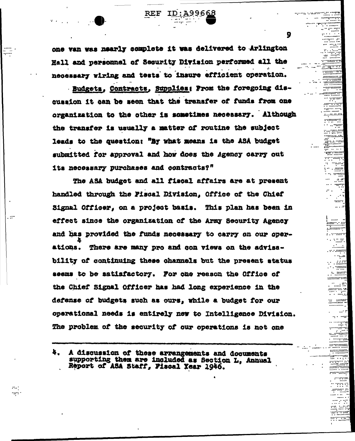one van was nearly complete it was delivered to Arlington Hall and personnel of Security Division performed all the necessary wiring and tests to insure efficient operation.

ID:A99668

9

,,,,,,,

--:::-:::::::

::::::::::

garrenne

**Second** 

n and

noona<br>S

مالي

. innan 1

- . . . . . . . . . . e estas

- 1999

t, men

www.com

mm . . . . . .

 $REF$ 

Budgets, Contracts, Supplies: From the foregoing discussion it can be seen that the transfer of funds from one organization to the other is sometimes necessary. Although the transfer is usually a matter of routine the subject leads to the question: "By what means is the ASA budget submitted for approval and how does the Agency carry out its necessary purchases and contracts?"

The ASA budget and all fiscal affairs are at present handled through the Fiscal Division, Office of the Chief Signal Officer. on a project basis. This plan has been in effect since the organization of the Army Security Agency and has provided the funds necessary to carry on our operations. There are many pro and con views on the advisability of continuing these channels but the present status seems to be satisfactory. For one reason the Office of the Chief Signal Officer has had long experience in the defense of budgets such as ours, while a budget for our operational needs is entirely new to Intelligence Division. The problem of the security of our operations is not one

. er

nana.

A discussion of these arrangements and documents supporting them are included as Section L. Annual Report of ASA Staff, Fiscal Year 1946.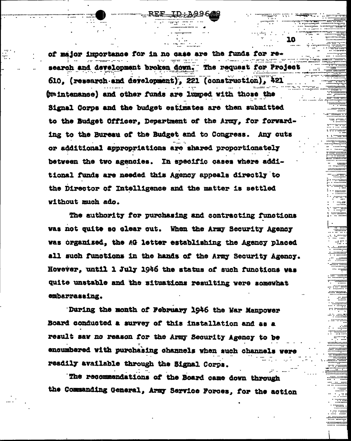of major inportance for in no case are the funds for research and development broken down. The request for Project 610. (research and development), 221 (construction), 421 (waintenance) and other funds are lumped with those the Signal Corps and the budget estimates are then submitted to the Budget Officer. Department of the Army, for forwarding to the Bureau of the Budget and to Congress. Any cuts or additional appropriations are shared proportionately between the two agencies. In specific cases where additional funds are needed this Agency appeals directly to the Director of Intelligence and the matter is settled without much ado.

m 1

. . <sub>M</sub>ara a san

10

10000000

1111111 novoj.

------aan aad \*\*\*\*\*

xw

e endi

The authority for purchasing and contracting functions was not quite so clear out. When the Army Security Agency was organised, the AG letter establishing the Agency placed all such functions in the hands of the Army Security Agency. However, until 1 July 1946 the status of such functions was quite unstable and the situations resulting vere somewhat embarrassing.

During the month of February 1946 the War Manpower Board conducted a survey of this installation and as a result saw no reason for the Army Security Agency to be encumbered with purchasing channels when such channels readily available through the Signal Corps.

The recommendations of the Board came down through the Commanding General, Army Service Forces, for the action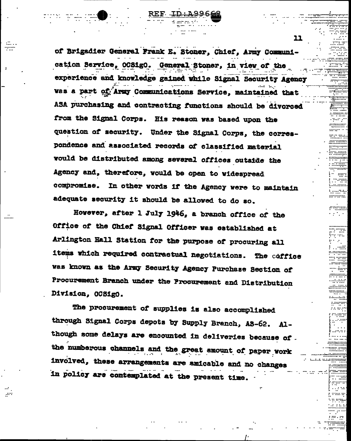of Brigadier General Frank E. Stoner, Chief, Army Communication Service, OCSigO. General Stoner, in view of the experience and knowledge gained while Signal Security Agency was a part of Army Communications Service, maintained that ASA purchasing and contracting functions should be divorced from the Signal Corps. His reason was based upon the question of security. Under the Signal Corps, the correspondence and associated records of classified material would be distributed among several offices outside the Agency and, therefore, would be open to widespread compromise. In other words if the Agency were to maintain adequate security it should be allowed to do so.

.....

However, after 1 July 1946, a branch office of the Office of the Chief Signal Officer was established at Arlington Hall Station for the purpose of procuring all items which required contractual negotiations. The coffice was known as the Army Security Agency Purchase Section of Procurement Branch under the Procurement and Distribution Division, OCSigO.

The procurement of supplies is also accomplished through Signal Corps depots by Supply Branch, AS-62. Although some delays are encounted in deliveries because of. the numberous channels and the great amount of paper vork involved, these arrangements are amicable and no changes in policy are contemplated at the present time.

11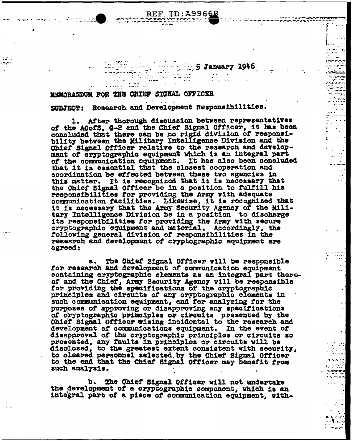$5$  January 1946 MEMORANDUM FOR THE CHIEF SIGNAL OFFICER

REF ID:A99668

mezhoù d

C.C.

SUBJECT: Research and Development Responsibilities.

1. After thorough discussion between representatives of the ACofS. G-2 and the Chief Signal Officer, it has been concluded that there can be no rigid division of responsibility between the Military Intelligence Division and the Chief Signal Officer relative to the research and development of cryptographic equipment which is an integral part of the communication equipment. It has also been concluded that it is essential that the closest cooperation and coordination be effected between these two agencies in this matter. It is recognized that it is necessary that the Chief Signal Officer be in a position to fulfill his responsibilities for providing the Army with adequate communication facilities. Likewise, it is recognized that it is necessary that the Army Security Agency of the Military Intelligence Division be in a position to discharge its responsibilities for providing the Army with secure cryptographic equipment and material. Accordingly, the following general division of responsibilities in the research and development of cryptographic equipment are agreed:

Bolisik<br>Bolisik

 $\mathcal{L}_{\mathcal{A}}^{\mathcal{A}}$ .. . ......

 $\ldots$ 

88.

 $\ddot{\phantom{a}}$ 

The Chief Signal Officer will be responsible a., for research and development of communication equipment containing cryptographic elements as an integral part thereof and the Chief, Army Security Agency will be responsible for providing the specifications of the cryptographic principles and circuits of any cryptographic elements in such communication equipment, and for analyzing for the purposes of approving or disapproving any specifications of cryptographic principles or circuits presented by the Chief Signal Officer &ising incidental to the research and development of communications equipment. In the event of disapproval of the cryptographic principles or circuits so presented, any faults in principles or circuits will be disclosed, to the greatest extent consistent with security, to oleared personnel selected by the Chief Signal Officer to the end that the Chief Signal Officer may benefit from such analysis.

b. The Chief Signal Officer will not undertake the development of a cryptographic component, which is an integral part of a piece of communication equipment, with-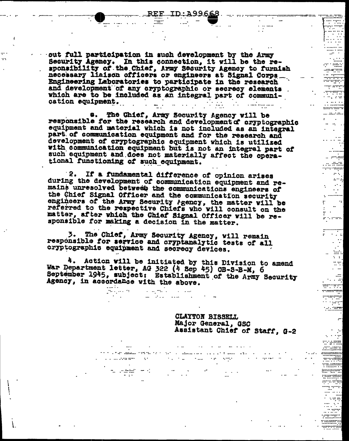,,,,,,,,,,,,,,,,,,,,,,,,,,,,,,

11 - 11

 $\mathbf{r} = \mathbf{r}$ 

a arten

al anche se se secuent  $\mathcal{L}^{\text{max}}_{\text{max}}$ 

للمشتبين وال

 $\frac{1}{4}$  ,  $\frac{1}{2}$ 

**Britannic** 

း ဆိုး အသံအ  $\left\vert \cdot \right\rangle _{1}^{N}$ 

> al m  $\sim 100$

. . . wrwr

TURET TIP aganganya i sang

 $\sim 10^{-10}$  m  $^{-1}$ **TEACHER** 

5111111111111

and an analysis

 $\mathcal{L}(\mathcal{A})$  .

 $\mathbb{R}^{n \times n}$  $\label{eq:2} \frac{1}{\sqrt{2}}\left(\frac{1}{\sqrt{2}}\right)^{1/2}$ 

 $\sim$  100  $\sim$ 

out full participation in such development by the Army<br>Security Agency. In this connection, it will be the re-<br>sponsibility of the Chief, Army Security Agency to furnish<br>necessary liaison officers or engineers at Signal Co Engineering Laboratories to participate in the research<br>and development of any cryptographic or secrecy elements which are to be included as an integral part of communication equipment. a se por construíros de la construíra de la construíra de la construíra de la construíra de la construíra de l **Contract Contract** 

e. The Chief, Army Security Agency will be responsible for the research and development of cryptographic equipment and material which is not included as an integral part of communication equipment and for the research and development of cryptographic equipment which is utilized with communication equipment but is not an integral part of such equipment and does not materially affect the operational functioning of such equipment.

If a fundamental difference of opinion arises 2. during the development of communication equipment and remains unresolved between the communications engineers of the Chief Signal Officer and the communication security engineers of the Army Security Agency, the matter will be referred to the respective Chiefs who will consult on the matter, after which the Chief Signal Officer will be responsible for making a decision in the matter.

3. The Chief, Army Security Agency, will remain responsible for service and cryptanalytic tests of all cryptographic equipment and secrecy devices.

a na mata

anda<br>Andar A

na s<del>abil</del>i (m. 1930)<br>Teoreta

4. Action will be initiated by this Division to amend War Department letter, AG 322 (4 Sep 45) OB-8-B-M, 6 September 1945, subject: Establishment of the Army Security Agency, in accordance with the above.

**Contract Contract Contract** 

 $\mathcal{L}^{\text{max}}_{\text{max}}$  ,  $\mathcal{L}^{\text{max}}_{\text{max}}$ 

e e de la produzión estes el especie de la minimal de la de la campa de la minimal de la componentación en la<br>La del matematica de la componenta de la componentación estes de la segunda de la componentación de la compon

المسالع خوادرون الاستمسمية الدارجية الخاطئة فللقطف فتخرج حاجج

CLAYTON BISSELL Major General, GSC Assistant Chief of Staff, G-2

 $\sim$   $-$